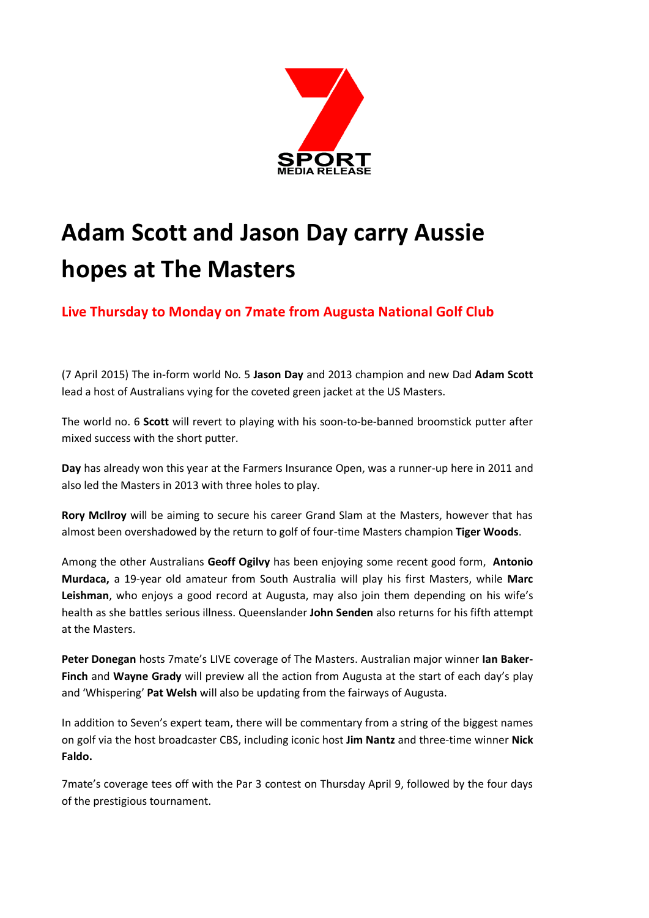

# **Adam Scott and Jason Day carry Aussie hopes at The Masters**

**Live Thursday to Monday on 7mate from Augusta National Golf Club**

(7 April 2015) The in-form world No. 5 **Jason Day** and 2013 champion and new Dad **Adam Scott** lead a host of Australians vying for the coveted green jacket at the US Masters.

The world no. 6 **Scott** will revert to playing with his soon-to-be-banned broomstick putter after mixed success with the short putter.

**Day** has already won this year at the Farmers Insurance Open, was a runner-up here in 2011 and also led the Masters in 2013 with three holes to play.

**Rory McIlroy** will be aiming to secure his career Grand Slam at the Masters, however that has almost been overshadowed by the return to golf of four-time Masters champion **Tiger Woods**.

Among the other Australians **Geoff Ogilvy** has been enjoying some recent good form, **Antonio Murdaca,** a 19-year old amateur from South Australia will play his first Masters, while **Marc Leishman**, who enjoys a good record at Augusta, may also join them depending on his wife's health as she battles serious illness. Queenslander **John Senden** also returns for his fifth attempt at the Masters.

**Peter Donegan** hosts 7mate's LIVE coverage of The Masters. Australian major winner **Ian Baker-Finch** and **Wayne Grady** will preview all the action from Augusta at the start of each day's play and 'Whispering' **Pat Welsh** will also be updating from the fairways of Augusta.

In addition to Seven's expert team, there will be commentary from a string of the biggest names on golf via the host broadcaster CBS, including iconic host **Jim Nantz** and three-time winner **Nick Faldo.**

7mate's coverage tees off with the Par 3 contest on Thursday April 9, followed by the four days of the prestigious tournament.